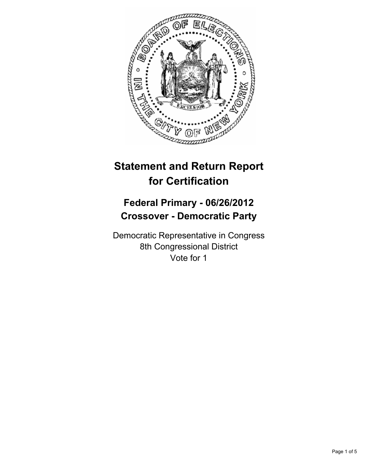

# **Statement and Return Report for Certification**

## **Federal Primary - 06/26/2012 Crossover - Democratic Party**

Democratic Representative in Congress 8th Congressional District Vote for 1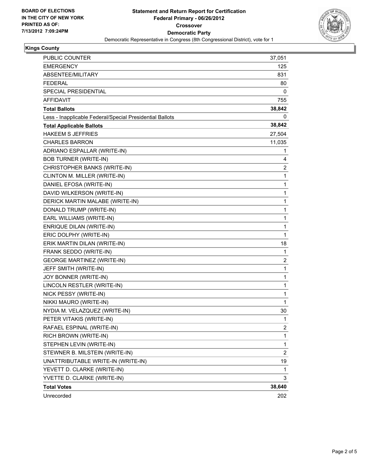

#### **Kings County**

| PUBLIC COUNTER                                           | 37,051                  |
|----------------------------------------------------------|-------------------------|
| <b>EMERGENCY</b>                                         | 125                     |
| ABSENTEE/MILITARY                                        | 831                     |
| <b>FEDERAL</b>                                           | 80                      |
| SPECIAL PRESIDENTIAL                                     | 0                       |
| AFFIDAVIT                                                | 755                     |
| <b>Total Ballots</b>                                     | 38,842                  |
| Less - Inapplicable Federal/Special Presidential Ballots | 0                       |
| <b>Total Applicable Ballots</b>                          | 38,842                  |
| <b>HAKEEM S JEFFRIES</b>                                 | 27,504                  |
| <b>CHARLES BARRON</b>                                    | 11,035                  |
| ADRIANO ESPALLAR (WRITE-IN)                              | 1                       |
| <b>BOB TURNER (WRITE-IN)</b>                             | 4                       |
| CHRISTOPHER BANKS (WRITE-IN)                             | 2                       |
| CLINTON M. MILLER (WRITE-IN)                             | 1                       |
| DANIEL EFOSA (WRITE-IN)                                  | 1                       |
| DAVID WILKERSON (WRITE-IN)                               | 1                       |
| DERICK MARTIN MALABE (WRITE-IN)                          | 1                       |
| DONALD TRUMP (WRITE-IN)                                  | 1                       |
| EARL WILLIAMS (WRITE-IN)                                 | 1                       |
| <b>ENRIQUE DILAN (WRITE-IN)</b>                          | 1                       |
| ERIC DOLPHY (WRITE-IN)                                   | 1                       |
| ERIK MARTIN DILAN (WRITE-IN)                             | 18                      |
| FRANK SEDDO (WRITE-IN)                                   | 1                       |
| <b>GEORGE MARTINEZ (WRITE-IN)</b>                        | $\overline{2}$          |
| JEFF SMITH (WRITE-IN)                                    | 1                       |
| JOY BONNER (WRITE-IN)                                    | 1                       |
| LINCOLN RESTLER (WRITE-IN)                               | 1                       |
| NICK PESSY (WRITE-IN)                                    | 1                       |
| NIKKI MAURO (WRITE-IN)                                   | 1                       |
| NYDIA M. VELAZQUEZ (WRITE-IN)                            | 30                      |
| PETER VITAKIS (WRITE-IN)                                 | 1                       |
| RAFAEL ESPINAL (WRITE-IN)                                | 2                       |
| RICH BROWN (WRITE-IN)                                    | 1                       |
| STEPHEN LEVIN (WRITE-IN)                                 | 1                       |
| STEWNER B. MILSTEIN (WRITE-IN)                           | $\overline{\mathbf{c}}$ |
| UNATTRIBUTABLE WRITE-IN (WRITE-IN)                       | 19                      |
| YEVETT D. CLARKE (WRITE-IN)                              | 1                       |
| YVETTE D. CLARKE (WRITE-IN)                              | 3                       |
| <b>Total Votes</b>                                       | 38,640                  |
| Unrecorded                                               | 202                     |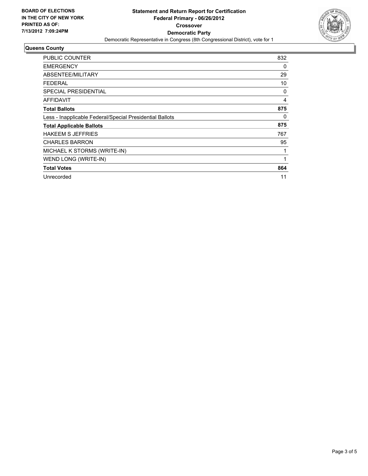

#### **Queens County**

| <b>PUBLIC COUNTER</b>                                    | 832 |
|----------------------------------------------------------|-----|
| <b>EMERGENCY</b>                                         | 0   |
| ABSENTEE/MILITARY                                        | 29  |
| <b>FEDERAL</b>                                           | 10  |
| SPECIAL PRESIDENTIAL                                     | 0   |
| <b>AFFIDAVIT</b>                                         | 4   |
| <b>Total Ballots</b>                                     | 875 |
| Less - Inapplicable Federal/Special Presidential Ballots | 0   |
| <b>Total Applicable Ballots</b>                          | 875 |
| <b>HAKEEM S JEFFRIES</b>                                 | 767 |
| <b>CHARLES BARRON</b>                                    | 95  |
| MICHAEL K STORMS (WRITE-IN)                              | 1   |
| WEND LONG (WRITE-IN)                                     | 1   |
| <b>Total Votes</b>                                       | 864 |
| Unrecorded                                               | 11  |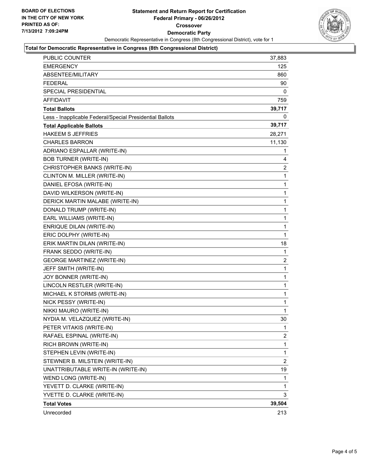

#### **Total for Democratic Representative in Congress (8th Congressional District)**

| Unrecorded                                                                                  | 213              |
|---------------------------------------------------------------------------------------------|------------------|
| <b>Total Votes</b>                                                                          | 39,504           |
| YVETTE D. CLARKE (WRITE-IN)                                                                 | 3                |
| YEVETT D. CLARKE (WRITE-IN)                                                                 | 1                |
| WEND LONG (WRITE-IN)                                                                        | 1                |
| UNATTRIBUTABLE WRITE-IN (WRITE-IN)                                                          | 19               |
| STEWNER B. MILSTEIN (WRITE-IN)                                                              | 2                |
| STEPHEN LEVIN (WRITE-IN)                                                                    | $\mathbf 1$      |
| RICH BROWN (WRITE-IN)                                                                       | 1                |
| RAFAEL ESPINAL (WRITE-IN)                                                                   | $\overline{a}$   |
| PETER VITAKIS (WRITE-IN)                                                                    | 1                |
| NYDIA M. VELAZQUEZ (WRITE-IN)                                                               | 30               |
| NIKKI MAURO (WRITE-IN)                                                                      | 1                |
| NICK PESSY (WRITE-IN)                                                                       | 1                |
| MICHAEL K STORMS (WRITE-IN)                                                                 | 1                |
| LINCOLN RESTLER (WRITE-IN)                                                                  | 1                |
| JOY BONNER (WRITE-IN)                                                                       | 1                |
| JEFF SMITH (WRITE-IN)                                                                       | 1                |
| <b>GEORGE MARTINEZ (WRITE-IN)</b>                                                           | 2                |
| FRANK SEDDO (WRITE-IN)                                                                      | 1                |
| ERIK MARTIN DILAN (WRITE-IN)                                                                | 18               |
| ERIC DOLPHY (WRITE-IN)                                                                      | $\mathbf{1}$     |
| <b>ENRIQUE DILAN (WRITE-IN)</b>                                                             | 1                |
| EARL WILLIAMS (WRITE-IN)                                                                    | 1                |
| DONALD TRUMP (WRITE-IN)                                                                     | 1                |
| DERICK MARTIN MALABE (WRITE-IN)                                                             | 1                |
| DAVID WILKERSON (WRITE-IN)                                                                  | 1                |
| DANIEL EFOSA (WRITE-IN)                                                                     | 1                |
| CLINTON M. MILLER (WRITE-IN)                                                                | 1                |
| CHRISTOPHER BANKS (WRITE-IN)                                                                | 2                |
| <b>BOB TURNER (WRITE-IN)</b>                                                                | 4                |
| ADRIANO ESPALLAR (WRITE-IN)                                                                 | 1                |
| CHARLES BARRON                                                                              | 28,271<br>11,130 |
| <b>HAKEEM S JEFFRIES</b>                                                                    |                  |
| Less - Inapplicable Federal/Special Presidential Ballots<br><b>Total Applicable Ballots</b> | 39,717           |
|                                                                                             | 0                |
| <b>Total Ballots</b>                                                                        | 39,717           |
| <b>AFFIDAVIT</b>                                                                            | 759              |
| FEDERAL<br>SPECIAL PRESIDENTIAL                                                             | 90<br>0          |
| ABSENTEE/MILITARY                                                                           | 860              |
| <b>EMERGENCY</b>                                                                            | 125              |
| PUBLIC COUNTER                                                                              | 37,883           |
|                                                                                             |                  |